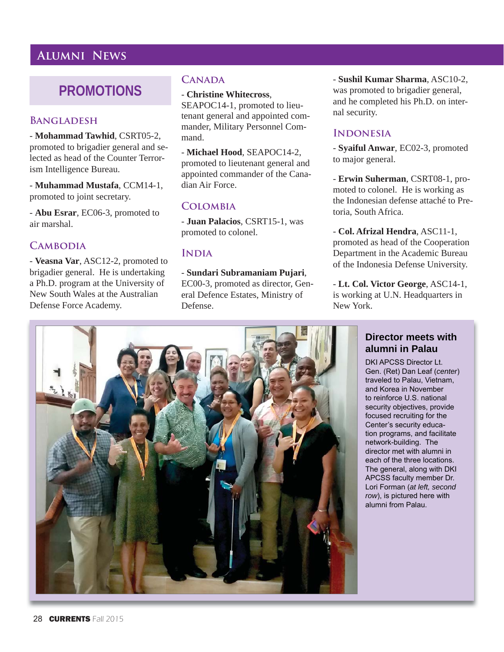# **Alumni News**

# **PROMOTIONS**

#### **Bangladesh**

- **Mohammad Tawhid**, CSRT05-2, promoted to brigadier general and selected as head of the Counter Terrorism Intelligence Bureau.

- **Muhammad Mustafa**, CCM14-1, promoted to joint secretary.

- **Abu Esrar**, EC06-3, promoted to air marshal.

# **CAMBODIA**

- **Veasna Var**, ASC12-2, promoted to brigadier general. He is undertaking a Ph.D. program at the University of New South Wales at the Australian Defense Force Academy.

# **Canada**

- **Christine Whitecross**, SEAPOC14-1, promoted to lieutenant general and appointed commander, Military Personnel Command.

- **Michael Hood**, SEAPOC14-2, promoted to lieutenant general and appointed commander of the Canadian Air Force.

# **Colombia**

- **Juan Palacios**, CSRT15-1, was promoted to colonel.

### **India**

#### - **Sundari Subramaniam Pujari**,

EC00-3, promoted as director, General Defence Estates, Ministry of Defense.

- **Sushil Kumar Sharma**, ASC10-2, was promoted to brigadier general, and he completed his Ph.D. on internal security.

#### **INDONESIA**

- **Syaiful Anwar**, EC02-3, promoted to major general.

- **Erwin Suherman**, CSRT08-1, promoted to colonel. He is working as the Indonesian defense attaché to Pretoria, South Africa.

- **Col. Afrizal Hendra**, ASC11-1, promoted as head of the Cooperation Department in the Academic Bureau of the Indonesia Defense University.

- **Lt. Col. Victor George**, ASC14-1, is working at U.N. Headquarters in New York.

# **Director meets with alumni in Palau**

DKI APCSS Director Lt. Gen. (Ret) Dan Leaf (center) traveled to Palau, Vietnam, and Korea in November to reinforce U.S. national security objectives, provide focused recruiting for the Center's security education programs, and facilitate network-building. The director met with alumni in each of the three locations. The general, along with DKI. APCSS faculty member Dr. Lori Forman (at left, second *row*), is pictured here with alumni from Palau.

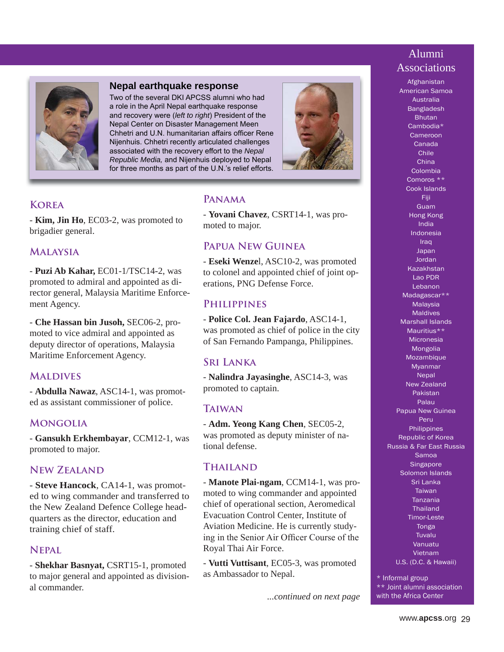# Alumni Associations



#### **Nepal earthquake response**

Two of the several DKI APCSS alumni who had a role in the April Nepal earthquake response and recovery were (left to right) President of the Nepal Center on Disaster Management Meen Chhetri and U.N. humanitarian affairs officer Rene Nijenhuis. Chhetri recently articulated challenges associated with the recovery effort to the Nepal *Republic Media, and Nijenhuis deployed to Nepal* for three months as part of the U.N.'s relief efforts.



# **Korea**

- **Kim, Jin Ho**, EC03-2, was promoted to brigadier general.

#### **Malaysia**

- **Puzi Ab Kahar,** EC01-1/TSC14-2, was promoted to admiral and appointed as director general, Malaysia Maritime Enforcement Agency.

- **Che Hassan bin Jusoh,** SEC06-2, promoted to vice admiral and appointed as deputy director of operations, Malaysia Maritime Enforcement Agency.

## **MALDIVES**

- **Abdulla Nawaz**, ASC14-1, was promoted as assistant commissioner of police.

# **Mongolia**

- **Gansukh Erkhembayar**, CCM12-1, was promoted to major.

## **New Zealand**

- **Steve Hancock**, CA14-1, was promoted to wing commander and transferred to the New Zealand Defence College headquarters as the director, education and training chief of staff.

#### **Nepal**

- **Shekhar Basnyat,** CSRT15-1, promoted to major general and appointed as divisional commander.

# **Panama**

- **Yovani Chavez**, CSRT14-1, was promoted to major.

# **Papua New Guinea**

- **Eseki Wenze**l, ASC10-2, was promoted to colonel and appointed chief of joint operations, PNG Defense Force.

#### **Philippines**

- **Police Col. Jean Fajardo**, ASC14-1, was promoted as chief of police in the city of San Fernando Pampanga, Philippines.

## **Sri Lanka**

- **Nalindra Jayasinghe**, ASC14-3, was promoted to captain.

#### **Taiwan**

- **Adm. Yeong Kang Chen**, SEC05-2, was promoted as deputy minister of national defense.

# **Thailand**

- **Manote Plai-ngam**, CCM14-1, was promoted to wing commander and appointed chief of operational section, Aeromedical Evacuation Control Center, Institute of Aviation Medicine. He is currently studying in the Senior Air Officer Course of the Royal Thai Air Force.

- **Vutti Vuttisant**, EC05-3, was promoted as Ambassador to Nepal.

*...continued on next page*

Afghanistan American Samoa Australia Bangladesh Bhutan Cambodia\* Cameroon Canada Chile China Colombia Comoros \*\* Cook Islands Fiji Guam Hong Kong India Indonesia **Iraq** Japan Jordan Kazakhstan Lao PDR Lebanon Madagascar\*\* **Malaysia** Maldives Marshall Islands Mauritius\*\* Micronesia Mongolia Mozambique Myanmar

Nepal New Zealand Pakistan Palau Papua New Guinea Peru **Philippines** Republic of Korea Russia & Far East Russia Samoa **Singapore** Solomon Islands Sri Lanka **Taiwan** Tanzania **Thailand** Timor-Leste Tonga Tuvalu Vanuatu Vietnam U.S. (D.C. & Hawaii)

\* Informal group \*\* Joint alumni association with the Africa Center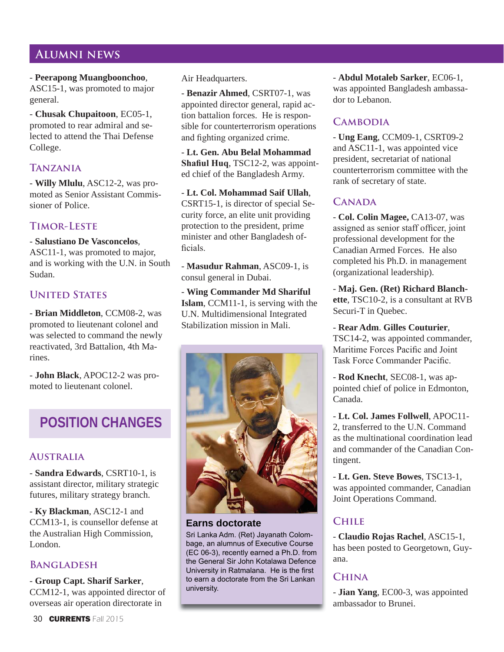# **Alumni news**

- **Peerapong Muangboonchoo**, ASC15-1, was promoted to major general.

- **Chusak Chupaitoon**, EC05-1, promoted to rear admiral and selected to attend the Thai Defense College.

# **Tanzania**

- **Willy Mlulu**, ASC12-2, was promoted as Senior Assistant Commissioner of Police.

# **Timor-Leste**

- **Salustiano De Vasconcelos**, ASC11-1, was promoted to major, and is working with the U.N. in South Sudan.

# **United States**

- **Brian Middleton**, CCM08-2, was promoted to lieutenant colonel and was selected to command the newly reactivated, 3rd Battalion, 4th Marines.

- **John Black**, APOC12-2 was promoted to lieutenant colonel.

# **POSITION CHANGES**

# **Australia**

- **Sandra Edwards**, CSRT10-1, is assistant director, military strategic futures, military strategy branch.

- **Ky Blackman**, ASC12-1 and CCM13-1, is counsellor defense at the Australian High Commission, London.

# **Bangladesh**

- **Group Capt. Sharif Sarker**,

CCM12-1, was appointed director of overseas air operation directorate in

Air Headquarters.

- **Benazir Ahmed**, CSRT07-1, was appointed director general, rapid action battalion forces. He is responsible for counterterrorism operations and fighting organized crime.

- **Lt. Gen. Abu Belal Mohammad Shafiul Hug, TSC12-2, was appoint**ed chief of the Bangladesh Army.

- **Lt. Col. Mohammad Saif Ullah**, CSRT15-1, is director of special Security force, an elite unit providing protection to the president, prime minister and other Bangladesh of ficials.

- **Masudur Rahman**, ASC09-1, is consul general in Dubai.

- **Wing Commander Md Shariful Islam**, CCM11-1, is serving with the U.N. Multidimensional Integrated Stabilization mission in Mali.



# **Earns doctorate**

Sri Lanka Adm. (Ret) Jayanath Colombage, an alumnus of Executive Course  $(EC 06-3)$ , recently earned a Ph.D. from the General Sir John Kotalawa Defence University in Ratmalana. He is the first to earn a doctorate from the Sri Lankan university.

- **Abdul Motaleb Sarker**, EC06-1, was appointed Bangladesh ambassador to Lebanon.

# **CAMBODIA**

- **Ung Eang**, CCM09-1, CSRT09-2 and ASC11-1, was appointed vice president, secretariat of national counterterrorism committee with the rank of secretary of state.

# CANADA

- **Col. Colin Magee,** CA13-07, was assigned as senior staff officer, joint professional development for the Canadian Armed Forces. He also completed his Ph.D. in management (organizational leadership).

- **Maj. Gen. (Ret) Richard Blanchette**, TSC10-2, is a consultant at RVB Securi-T in Quebec.

- **Rear Adm**. **Gilles Couturier**, TSC14-2, was appointed commander, Maritime Forces Pacific and Joint Task Force Commander Pacific.

- **Rod Knecht**, SEC08-1, was appointed chief of police in Edmonton, Canada.

- **Lt. Col. James Follwell**, APOC11- 2, transferred to the U.N. Command as the multinational coordination lead and commander of the Canadian Contingent.

- **Lt. Gen. Steve Bowes**, TSC13-1, was appointed commander, Canadian Joint Operations Command.

# **Chile**

- **Claudio Rojas Rachel**, ASC15-1, has been posted to Georgetown, Guyana.

# **China**

- **Jian Yang**, EC00-3, was appointed ambassador to Brunei.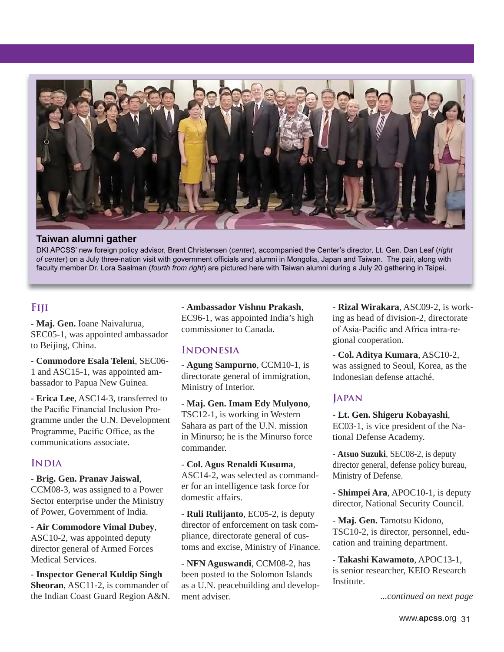

#### **Taiwan alumni gather**

DKI APCSS' new foreign policy advisor, Brent Christensen (center), accompanied the Center's director, Lt. Gen. Dan Leaf (right *of center*) on a July three-nation visit with government officials and alumni in Mongolia, Japan and Taiwan. The pair, along with faculty member Dr. Lora Saalman (fourth from right) are pictured here with Taiwan alumni during a July 20 gathering in Taipei.

### **Fiji**

- **Maj. Gen.** Ioane Naivalurua, SEC05-1, was appointed ambassador to Beijing, China.

- **Commodore Esala Teleni**, SEC06- 1 and ASC15-1, was appointed ambassador to Papua New Guinea.

- **Erica Lee**, ASC14-3, transferred to the Pacific Financial Inclusion Programme under the U.N. Development Programme, Pacific Office, as the communications associate.

#### **India**

### - **Brig. Gen. Pranav Jaiswal**,

CCM08-3, was assigned to a Power Sector enterprise under the Ministry of Power, Government of India.

- **Air Commodore Vimal Dubey**, ASC10-2, was appointed deputy director general of Armed Forces Medical Services.

- **Inspector General Kuldip Singh Sheoran**, ASC11-2, is commander of the Indian Coast Guard Region A&N. - **Ambassador Vishnu Prakash**, EC96-1, was appointed India's high commissioner to Canada.

#### **Indonesia**

- **Agung Sampurno**, CCM10-1, is directorate general of immigration, Ministry of Interior.

- **Maj. Gen. Imam Edy Mulyono**, TSC12-1, is working in Western Sahara as part of the U.N. mission in Minurso; he is the Minurso force commander.

- **Col. Agus Renaldi Kusuma**, ASC14-2, was selected as commander for an intelligence task force for domestic affairs.

- **Ruli Rulijanto**, EC05-2, is deputy director of enforcement on task compliance, directorate general of customs and excise, Ministry of Finance.

- **NFN Aguswandi**, CCM08-2, has been posted to the Solomon Islands as a U.N. peacebuilding and development adviser.

- **Rizal Wirakara**, ASC09-2, is working as head of division-2, directorate of Asia-Pacific and Africa intra-regional cooperation.

- **Col. Aditya Kumara**, ASC10-2, was assigned to Seoul, Korea, as the Indonesian defense attaché.

#### **Japan**

- **Lt. Gen. Shigeru Kobayashi**, EC03-1, is vice president of the National Defense Academy.

- **Atsuo Suzuki**, SEC08-2, is deputy director general, defense policy bureau, Ministry of Defense.

- **Shimpei Ara**, APOC10-1, is deputy director, National Security Council.

- **Maj. Gen.** Tamotsu Kidono, TSC10-2, is director, personnel, education and training department.

- **Takashi Kawamoto**, APOC13-1, is senior researcher, KEIO Research Institute.

*...continued on next page*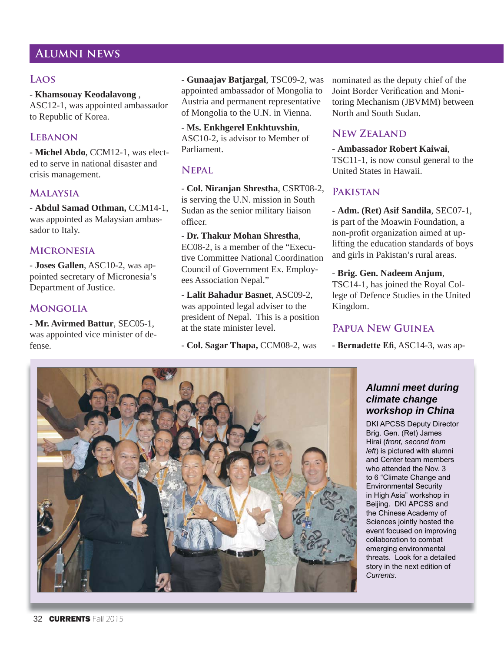# **Alumni news**

## **Laos**

- **Khamsouay Keodalavong** ,

ASC12-1, was appointed ambassador to Republic of Korea.

# **Lebanon**

- **Michel Abdo**, CCM12-1, was elected to serve in national disaster and crisis management.

## **Malaysia**

- **Abdul Samad Othman,** CCM14-1, was appointed as Malaysian ambassador to Italy.

#### **Micronesia**

- **Joses Gallen**, ASC10-2, was appointed secretary of Micronesia's Department of Justice.

#### **Mongolia**

- **Mr. Avirmed Battur**, SEC05-1, was appointed vice minister of defense.

- **Gunaajav Batjargal**, TSC09-2, was appointed ambassador of Mongolia to Austria and permanent representative of Mongolia to the U.N. in Vienna.

- **Ms. Enkhgerel Enkhtuvshin**, ASC10-2, is advisor to Member of Parliament.

# **Nepal**

- **Col. Niranjan Shrestha**, CSRT08-2, is serving the U.N. mission in South Sudan as the senior military liaison officer

- **Dr. Thakur Mohan Shrestha**, EC08-2, is a member of the "Executive Committee National Coordination Council of Government Ex. Employees Association Nepal."

- **Lalit Bahadur Basnet**, ASC09-2, was appointed legal adviser to the president of Nepal. This is a position at the state minister level.

- **Col. Sagar Thapa,** CCM08-2, was

nominated as the deputy chief of the Joint Border Verification and Monitoring Mechanism (JBVMM) between North and South Sudan.

### **New Zealand**

- **Ambassador Robert Kaiwai**,

TSC11-1, is now consul general to the United States in Hawaii.

### **Pakistan**

- **Adm. (Ret) Asif Sandila**, SEC07-1, is part of the Moawin Foundation, a non-profit organization aimed at uplifting the education standards of boys and girls in Pakistan's rural areas.

#### - **Brig. Gen. Nadeem Anjum**,

TSC14-1, has joined the Royal College of Defence Studies in the United Kingdom.

## **Papua New Guinea**

- **Bernadette Efi, ASC14-3, was ap-**

# *Alumni meet during climate change workshop in China*

DKI APCSS Deputy Director Brig. Gen. (Ret) James Hirai (front, second from *left*) is pictured with alumni and Center team members who attended the Nov. 3 to 6 "Climate Change and Environmental Security in High Asia" workshop in Beijing. DKI APCSS and the Chinese Academy of Sciences jointly hosted the event focused on improving collaboration to combat emerging environmental threats. Look for a detailed story in the next edition of *Currents*